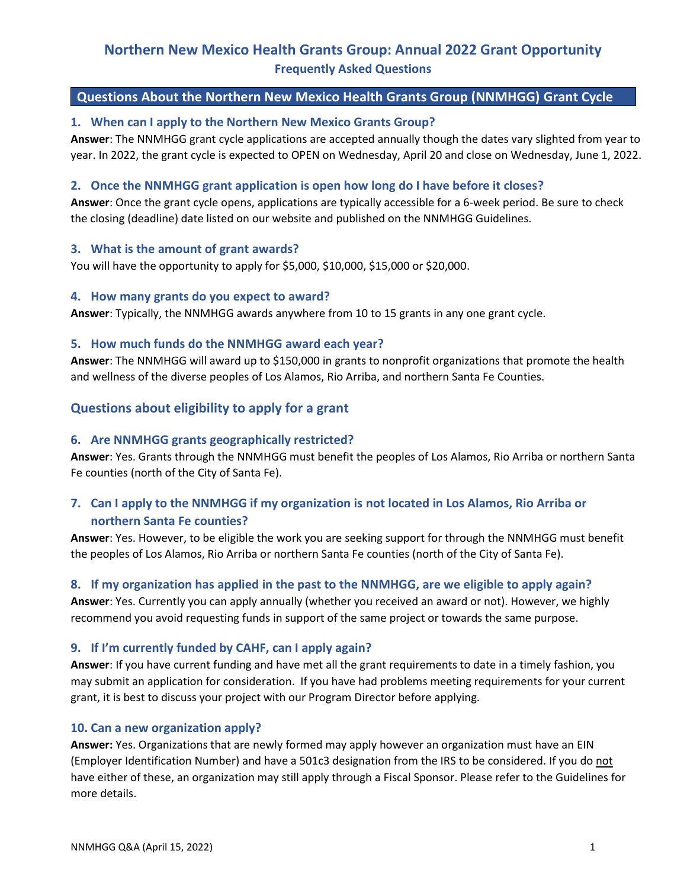# **Northern New Mexico Health Grants Group: Annual 2022 Grant Opportunity Frequently Asked Questions**

### **Questions About the Northern New Mexico Health Grants Group (NNMHGG) Grant Cycle**

### **1. When can I apply to the Northern New Mexico Grants Group?**

**Answer**: The NNMHGG grant cycle applications are accepted annually though the dates vary slighted from year to year. In 2022, the grant cycle is expected to OPEN on Wednesday, April 20 and close on Wednesday, June 1, 2022.

#### **2. Once the NNMHGG grant application is open how long do I have before it closes?**

**Answer**: Once the grant cycle opens, applications are typically accessible for a 6-week period. Be sure to check the closing (deadline) date listed on our website and published on the NNMHGG Guidelines.

### **3. What is the amount of grant awards?**

You will have the opportunity to apply for \$5,000, \$10,000, \$15,000 or \$20,000.

#### **4. How many grants do you expect to award?**

**Answer**: Typically, the NNMHGG awards anywhere from 10 to 15 grants in any one grant cycle.

### **5. How much funds do the NNMHGG award each year?**

**Answer**: The NNMHGG will award up to \$150,000 in grants to nonprofit organizations that promote the health and wellness of the diverse peoples of Los Alamos, Rio Arriba, and northern Santa Fe Counties.

## **Questions about eligibility to apply for a grant**

### **6. Are NNMHGG grants geographically restricted?**

**Answer**: Yes. Grants through the NNMHGG must benefit the peoples of Los Alamos, Rio Arriba or northern Santa Fe counties (north of the City of Santa Fe).

# **7. Can I apply to the NNMHGG if my organization is not located in Los Alamos, Rio Arriba or northern Santa Fe counties?**

**Answer**: Yes. However, to be eligible the work you are seeking support for through the NNMHGG must benefit the peoples of Los Alamos, Rio Arriba or northern Santa Fe counties (north of the City of Santa Fe).

#### **8. If my organization has applied in the past to the NNMHGG, are we eligible to apply again?**

**Answer**: Yes. Currently you can apply annually (whether you received an award or not). However, we highly recommend you avoid requesting funds in support of the same project or towards the same purpose.

## **9. If I'm currently funded by CAHF, can I apply again?**

**Answer**: If you have current funding and have met all the grant requirements to date in a timely fashion, you may submit an application for consideration. If you have had problems meeting requirements for your current grant, it is best to discuss your project with our Program Director before applying.

#### **10. Can a new organization apply?**

**Answer:** Yes. Organizations that are newly formed may apply however an organization must have an EIN (Employer Identification Number) and have a 501c3 designation from the IRS to be considered. If you do not have either of these, an organization may still apply through a Fiscal Sponsor. Please refer to the Guidelines for more details.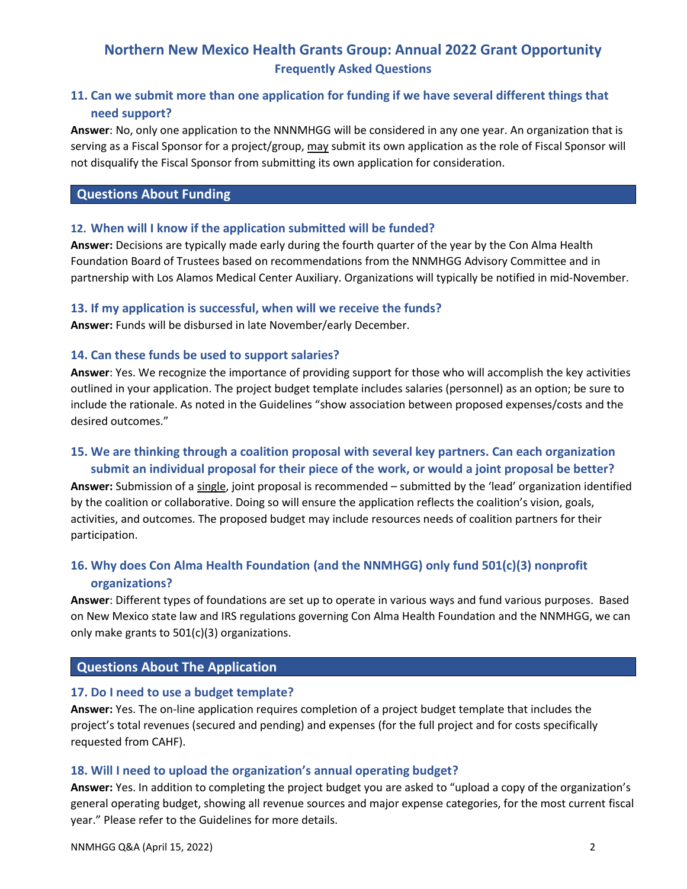# **Northern New Mexico Health Grants Group: Annual 2022 Grant Opportunity Frequently Asked Questions**

# **11. Can we submit more than one application for funding if we have several different things that need support?**

**Answer**: No, only one application to the NNNMHGG will be considered in any one year. An organization that is serving as a Fiscal Sponsor for a project/group, may submit its own application as the role of Fiscal Sponsor will not disqualify the Fiscal Sponsor from submitting its own application for consideration.

### **Questions About Funding**

#### **12. When will I know if the application submitted will be funded?**

**Answer:** Decisions are typically made early during the fourth quarter of the year by the Con Alma Health Foundation Board of Trustees based on recommendations from the NNMHGG Advisory Committee and in partnership with Los Alamos Medical Center Auxiliary. Organizations will typically be notified in mid-November.

#### **13. If my application is successful, when will we receive the funds?**

**Answer:** Funds will be disbursed in late November/early December.

#### **14. Can these funds be used to support salaries?**

**Answer**: Yes. We recognize the importance of providing support for those who will accomplish the key activities outlined in your application. The project budget template includes salaries (personnel) as an option; be sure to include the rationale. As noted in the Guidelines "show association between proposed expenses/costs and the desired outcomes."

# **15. We are thinking through a coalition proposal with several key partners. Can each organization submit an individual proposal for their piece of the work, or would a joint proposal be better?**

**Answer:** Submission of a single, joint proposal is recommended – submitted by the 'lead' organization identified by the coalition or collaborative. Doing so will ensure the application reflects the coalition's vision, goals, activities, and outcomes. The proposed budget may include resources needs of coalition partners for their participation.

# **16. Why does Con Alma Health Foundation (and the NNMHGG) only fund 501(c)(3) nonprofit organizations?**

**Answer**: Different types of foundations are set up to operate in various ways and fund various purposes. Based on New Mexico state law and IRS regulations governing Con Alma Health Foundation and the NNMHGG, we can only make grants to 501(c)(3) organizations.

## **Questions About The Application**

#### **17. Do I need to use a budget template?**

**Answer:** Yes. The on-line application requires completion of a project budget template that includes the project's total revenues (secured and pending) and expenses (for the full project and for costs specifically requested from CAHF).

#### **18. Will I need to upload the organization's annual operating budget?**

**Answer:** Yes. In addition to completing the project budget you are asked to "upload a copy of the organization's general operating budget, showing all revenue sources and major expense categories, for the most current fiscal year." Please refer to the Guidelines for more details.